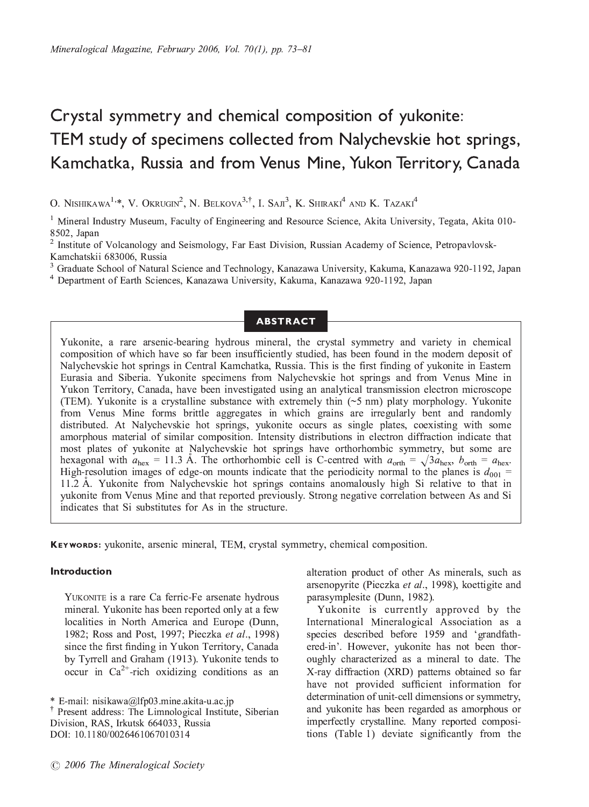# Crystal symmetry and chemical composition of yukonite: Kamchatka, Russia and from Venus Mine, Yukon Territory, Canada  $K$ amchatka, Russia and from Venus Mine, Yukon Territory, Canada

O. Nishikawa'<sup>,</sup>\*, V. Okrugin<sup>2</sup>, N. Belkova<sup>3,</sup>', I. Saji', K. Shiraki<sup>a</sup> and K. Tazaki<sup>a</sup><br>'

<sup>1</sup> Mineral Industry Museum, Faculty of Engineering and Resource Science, Akita University, Tegata, Akita 010-8502. Japan

<sup>2</sup> Institute of Volcanology and Seismology, Far East Division, Russian Academy of Science, Petropavlovsk-<br>Kamchatskij 683006, Russia Kamchatskii 683006, Russia<br><sup>3</sup> Graduate School of Natural Science and Technology, Kanazawa University, Kakuma, Kanazawa 920-1192, Japan

<sup>-</sup> Graduate School of Natural Science and Technology, Kanazawa University, Kakuma, Kanazawa 920-1192, Japan<br><sup>4</sup> Denartment of Earth Sciences, Kanazawa University, Kakuma, Kanazawa 920-1192, Japan

<sup>4</sup> Department of Earth Sciences, Kanazawa University, Kakuma, Kanazawa 920-1192, Japan

## ABSTRACT

Yukonite, a rare arsenic-bearing hydrous mineral, the crystal symmetry and variety in chemical composition of which have so far been insufficiently studied, has been found in the modern deposit of Nalychevskie hot springs in Central Kamchatka, Russia. This is the first finding of yukonite in Eastern Eurasia and Siberia. Yukonite specimens from Nalychevskie hot springs and from Venus Mine in Yukon Territory, Canada, have been investigated using an analytical transmission electron microscope (TEM). Yukonite is a crystalline substance with extremely thin  $(\sim 5 \text{ nm})$  platy morphology. Yukonite from Venus Mine forms brittle aggregates in which grains are irregularly bent and randomly distributed. At Nalychevskie hot springs, yukonite occurs as single plates, coexisting with some amorphous material of similar composition. Intensity distributions in electron diffraction indicate that most plates of yukonite at Nalychevskie hot springs have orthorhombic symmetry, but some are hexagonal with  $a_{hex} = 11.3$  Å. The orthorhombic cell is C-centred with  $a_{orth} = \sqrt{3}a_{hex}$ ,  $b_{orth} = a_{hex}$ . High-resolution images of edge-on mounts indicate that the periodicity normal to the planes is  $d_{001}$  = 11.2 Å. Yukonite from Nalychevskie hot springs contains anomalously high Si relative to that in yukonite from Venus Mine and that reported previously. Strong negative correlation between As and Si indicates that Si substitutes for As in the structure. indicates that Si substitutes for As in the structure.

KEYWORDS: yukonite, arsenic mineral, TEM, crystal symmetry, chemical composition.

YUKONITE is a rare Ca ferric-Fe arsenate hydrous<br>mineral. Yukonite has been reported only at a few localities in North America and Europe (Dunn, 1982; Ross and Post, 1997; Pieczka et al., 1998) since the first finding in Yukon Territory, Canada by Tyrrell and Graham (1913). Yukonite tends to  $\log_2 5$  Tyrrell and Graham (1914). The solutions as an open in Ca<sup>2+</sup>-rich oxidizing conditions as an

alteration product of other As minerals, such as arsenopyrite (Pieczka *et al.*, 1998), koettigite and parasymplesite (Dunn, 1982).

Yukonite is currently approved by the International Mineralogical Association as a species described before 1959 and 'grandfathered-in'. However, yukonite has not been thor-<br>evolved by characterized as a mineral to date. The oughly characterized as a mineral to date. The X-ray diffraction (XRD) patterns obtained so far have not provided sufficient information for determination of unit-cell dimensions or symmetry, and yukonite has been regarded as amorphous or imperfectly crystalline. Many reported compositions (Table 1) deviate significantly from the  $\left($  this is dependent significantly from the theorem

<sup>&</sup>lt;sup>†</sup> Present address: The Limnological Institute, Siberian Division, RAS. Irkutsk 664033. Russia Division, RAS, Irkutsk 664033, Russia <u>- 11.1180/01</u>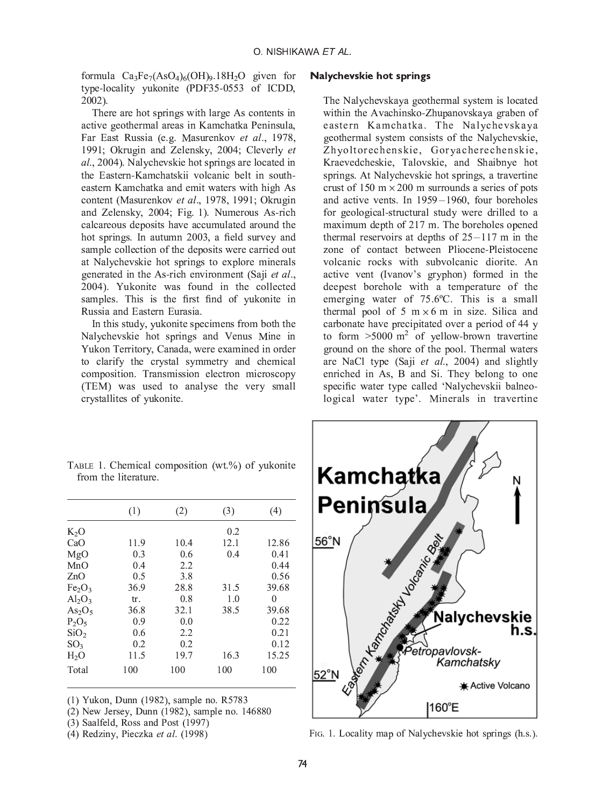formula  $Ca_3Fe_7(AsO_4)_6(OH)_9.18H_2O$  given for type-locality yukonite (PDF35-0553 of ICDD,  $\frac{1}{2002}$ 

There are hot springs with large As contents in active geothermal areas in Kamchatka Peninsula, Far East Russia (e.g. Masurenkov et al., 1978, 1991; Okrugin and Zelensky, 2004; Cleverly et  $al., 2004$ ). Nalychevskie hot springs are located in the Eastern-Kamchatskii volcanic belt in southeastern-Kamchatka and emit waters with high As content (Masurenkov et al., 1978, 1991; Okrugin and Zelensky, 2004; Fig. 1). Numerous As-rich calcareous deposits have accumulated around the hot springs. In autumn 2003, a field survey and sample collection of the deposits were carried out at Nalychevskie hot springs to explore minerals generated in the As-rich environment (Saji et al., 2004). Yukonite was found in the collected samples. This is the first find of vukonite in Russia and Eastern Eurasia.

In this study, yukonite specimens from both the Nalychevskie hot springs and Venus Mine in Yukon Territory, Canada, were examined in order to clarify the crystal symmetry and chemical composition. Transmission electron microscopy (TEM) was used to analyse the very small crystallites of yukonite. crystallites of yukonite.

## $\sim$

The Nalychevskaya geothermal system is located eastern Kamchatka. The Nalychevskaya geothermal system consists of the Nalychevskie, Zhyoltorechenskie, Goryacherechenskie, Kraevedcheskie, Talovskie, and Shaibnye hot springs. At Nalychevskie hot springs, a travertine crust of 150 m  $\times$  200 m surrounds a series of pots and active vents. In  $1959 - 1960$ , four boreholes for geological-structural study were drilled to a<br>maximum depth of  $217$  m. The boreholes opened<br>thermal reservoirs at depths of  $25-117$  m in the<br>zone of contact between Pliocene-Pleistocene<br>volcanic rocks with subvolcan  $\frac{1}{2}$  for  $\frac{1}{2}$  and  $\frac{1}{2}$  m. The boreholes opened thermal reservoirs at depths of  $25-117$  m in the zone of contact between Pliocene-Pleistocene<br>volcanic rocks with subvolcanic diorite. An<br>active vent (Ivanov's gryphon) formed in the<br>deepest borehole with a temperature of the volcanic rocks with subvolcanic diorite. An volcanic vent (Ivanov's gryphon) formed in the deepest horehole with a temperature of the emerging water of  $75.6$ °C. This is a small thermal pool of 5  $m \times 6$  m in size. Silica and carbonate have precipitated over a period of 44 y to form  $>5000 \text{ m}^2$  of yellow-brown travertine ground on the shore of the pool. Thermal waters are NaCl type (Saji et al., 2004) and slightly enriched in As, B and Si. They belong to one specific water type called 'Nalychevskii balneospecific water type called  $\sum_{n=1}^{\infty}$  called  $\sum_{n=1}^{\infty}$  balance balleon-



TABLE 1. Chemical composition (wt.%) of yukonite from the literature.

|                                | (1)  | (2)  | (3)  | (4)   |
|--------------------------------|------|------|------|-------|
| $K_2O$                         |      |      | 0.2  |       |
| CaO                            | 11.9 | 10.4 | 12.1 | 12.86 |
| MgO                            | 0.3  | 0.6  | 0.4  | 0.41  |
| MnO                            | 0.4  | 2.2  |      | 0.44  |
| ZnO                            | 0.5  | 3.8  |      | 0.56  |
| Fe <sub>2</sub> O <sub>3</sub> | 36.9 | 28.8 | 31.5 | 39.68 |
| $Al_2O_3$                      | tr.  | 0.8  | 1.0  | 0     |
| As <sub>2</sub> O <sub>5</sub> | 36.8 | 32.1 | 38.5 | 39.68 |
| $P_2O_5$                       | 0.9  | 0.0  |      | 0.22  |
| SiO <sub>2</sub>               | 0.6  | 2.2  |      | 0.21  |
| SO <sub>3</sub>                | 0.2  | 0.2  |      | 0.12  |
| H <sub>2</sub> O               | 11.5 | 19.7 | 16.3 | 15.25 |
| Total                          | 100  | 100  | 100  | 100   |

<sup>(1)</sup> Yukon, Dunn (1982), sample no. R5783

(4) Redziny, Pieczka et al. (1998) FIG. 1. Locality map of Nalychevskie hot springs (h.s.).

 $(3)$  Saalfeld, Ross and Post  $(1997)$ 

<sup>(4)</sup> Redziny, Pieczka et al.  $(1998)$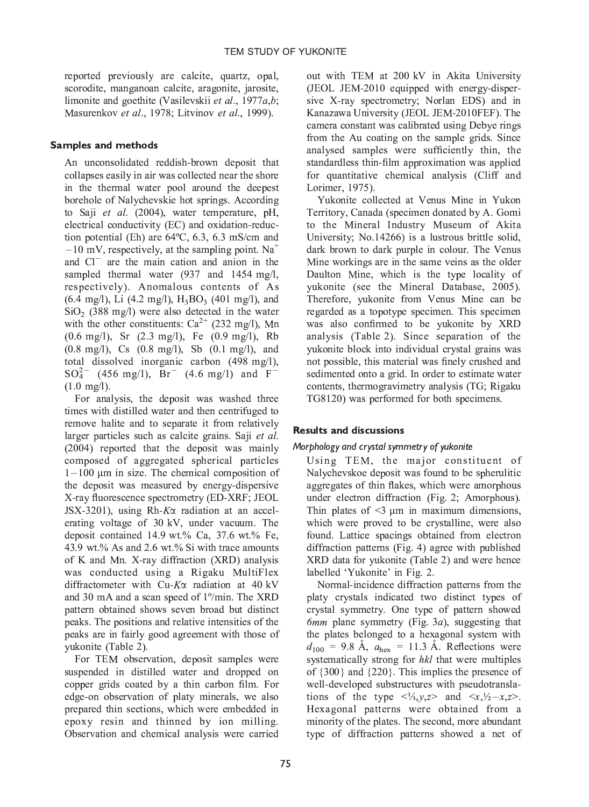reported previously are calcite, quartz, opal, limonite and goethite (Vasilevskii et al., 1977 $a,b$ ; Masurenkov et al., 1978; Litvinov et al., 1999). Masurenkov et al., 1978; Litvinov et al., 1999).

**Samples and methods**<br>An unconsolidated reddish-brown deposit that collapses easily in air was collected near the shore in the thermal water pool around the deepest borehole of Nalychevskie hot springs. According to Saji et al.  $(2004)$ , water temperature, pH, electrical conductivity (EC) and oxidation-reduction potential (Eh) are  $64^{\circ}$ C, 6.3, 6.3 mS/cm and  $-10$  mV, respectively, at the sampling point. Na<sup>+</sup>  $-10$  mv, respectively, at the sampling point. Na and Cl<sup>-</sup> are the main cation and anion in the sampled thermal water (937 and 1454 mg/l, respectively). Anomalous contents of As (6.4 mg/l), Li (4.2 mg/l), H<sub>3</sub>BO<sub>3</sub> (401 and Cl are the main cation and anion in the<br>sampled thermal water (937 and 1454 mg/l,<br>respectively). Anomalous contents of As<br> $(6.4 \text{ mg/l})$ , Li  $(4.2 \text{ mg/l})$ ,  $H_3BO_3$  (401 mg/l), and<br>SiO  $(388 \text{ mg/l})$  ware also datated in t sampled thermal water (137 and 1454 mg/s,  $(6.4 \text{ mg/l})$ , Li  $(4.2 \text{ mg/l})$ , H<sub>3</sub>BO<sub>3</sub>  $(401 \text{ mg/l})$ , and with the other constituents:  $Ca^{2+}$  (232 mg/l), Mn  $(0.6 \text{ mg/l})$ , Sr  $(2.3 \text{ mg/l})$ , Fe  $(0.9 \text{ mg/l})$ , Rb  $(0.8 \text{ mg/l})$ , Cs  $(0.8 \text{ mg/l})$ , Sb  $(0.1 \text{ mg/l})$ , and total dissolved inorganic carbon  $(498 \text{ mg/l})$ ,  $SO_4^{2-}$  (456 mg/l), Br<sup>-</sup> (4.6 mg/l) and F<sup>-</sup>  $(1.0 \text{ mg/l}).$ 

 $(456 \text{ mg/1})$ , Br $(4.6 \text{ mg/1})$  and F<br>img/l).<br>For analysis, the deposit was washed three<br>es with distilled water and then centrifuged to<br>gave helite and to concrete it from relatively  $\frac{1.00 \text{ m/s}}{1.00 \text{ m/s}}$ times with distilled water and then centrifuged to remove halite and to separate it from relatively larger particles such as calcite grains. Saji et al.  $(2004)$  reported that the deposit was mainly composed of aggregated spherical particles  $1-100$  µm in size. The chemical composition of 1–100  $\mu$ m in size. The chemical composition of<br>the deposit was measured by energy-dispersive<br>X-ray fluorescence spectrometry (ED-XRF; JEOL<br>JSX-3201), using Rh-*K* $\alpha$  radiation at an accel-<br>erating voltage of 30 kV, und the deposit was measured by energy-dispersive X-ray fluorescence spectrometry (ED-XRF; JEOL  $JSX-3201$ , using Rh- $K\alpha$  radiation at an accel-JSX-3201), using Rh-Ka radiation at an acceldeposit contained 14.9 wt.% Ca, 37.6 wt.% Fe, 43.9 wt.% As and 2.6 wt.% Si with trace amounts of K and Mn. X-ray diffraction (XRD) analysis was conducted using a Rigaku MultiFlex diffractometer with Cu-K $\alpha$  radiation at 40 kV and 30 mA and a scan speed of  $1^{\circ}/$ min. The XRD pattern obtained shows seven broad but distinct peaks. The positions and relative intensities of the peaks are in fairly good agreement with those of yukonite (Table 2).

For TEM observation, deposit samples were suspended in distilled water and dropped on copper grids coated by a thin carbon film. For edge-on observation of platy minerals, we also prepared thin sections, which were embedded in epoxy resin and thinned by ion milling. Observation and chemical analysis were carried. Observation and chemical analysis were carried

out with TEM at 200 kV in Akita University (JEOL JEM-2010 equipped with energy-dispersive X-ray spectrometry; Norlan EDS) and in Kanazawa University (JEOL JEM-2010FEF). The camera constant was calibrated using Debye rings from the Au coating on the sample grids. Since analysed samples were sufficiently thin, the standardless thin-film approximation was applied for quantitative chemical analysis (Cliff and Lorimer, 1975).

Yukonite collected at Venus Mine in Yukon Territory, Canada (specimen donated by A. Gomi to the Mineral Industry Museum of Akita University; No.14266) is a lustrous brittle solid, dark brown to dark purple in colour. The Venus Mine workings are in the same veins as the older. Daulton Mine, which is the type locality of yukonite (see the Mineral Database, 2005). Therefore, yukonite from Venus Mine can be regarded as a topotype specimen. This specimen was also confirmed to be yukonite by XRD analysis (Table 2). Since separation of the vukonite block into individual crystal grains was not possible, this material was finely crushed and sedimented onto a grid. In order to estimate water contents, thermogravimetry analysis (TG; Rigaku TG8120) was performed for both specimens. TG8120) was performed for both specimens.

# **Results and discussions**<br>Morphology and crystal symmetry of yukonite

Using TEM, the major constituent of Nalychevskoe deposit was found to be spherulitic aggregates of thin flakes, which were amorphous under electron diffraction (Fig. 2; Amorphous). Thin plates of  $\leq$ 3  $\mu$ m in maximum dimensions. which were proved to be crystalline, were also found. Lattice spacings obtained from electron diffraction patterns (Fig. 4) agree with published  $XRD$  data for yukonite (Table 2) and were hence  $\frac{X}{\text{labelled}}$  'Yukonite' in Fig. 2.<br>Normal-incidence diffraction patterns from the

Normal-incidence diffraction patterns from the platy crystals indicated two distinct types of crystal symmetry. One type of pattern showed  $6mm$  plane symmetry (Fig. 3a), suggesting that the plates belonged to a hexagonal system with  $d_{100}$  = 9.8 Å,  $a_{\text{hex}}$  = 11.3 Å. Reflections were systematically strong for hkl that were multiples of  $\{300\}$  and  $\{220\}$ . This implies the presence of well-developed substructures with pseudotranslations of the type  $\langle x, y, z \rangle$  and  $\langle x, y \rangle = x, z \rangle$ . Hexagonal patterns were obtained from a Figure obtained from a<br>expected from a<br>expected from a<br>expected from a<br>sexting the second, more abundant<br>erns showed a net of  $\frac{1}{2}$  and  $\frac{1}{2}$  patterns were considered from a second from a second from a second from a second from a second from a second from a second from a second from a second from a second from a second from a second from minority of the platter contains, more abundant  $\mathbf{y}_\mathbf{f}$  of diffraction patterns showed a net of  $\mathbf{f}$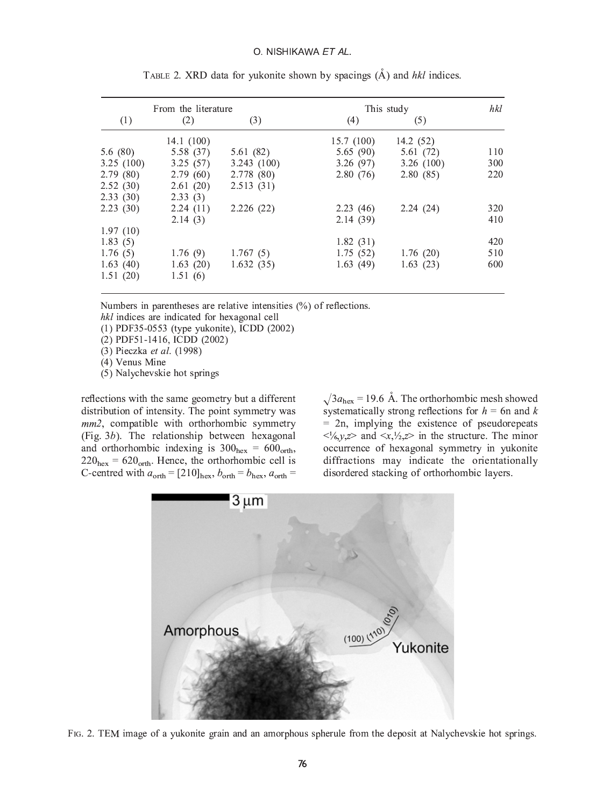| From the literature |            |            | This study | hkl       |     |
|---------------------|------------|------------|------------|-----------|-----|
| (1)                 | (2)        | (3)        | (4)        | (5)       |     |
|                     | 14.1 (100) |            | 15.7 (100) | 14.2 (52) |     |
| 5.6(80)             | 5.58 (37)  | 5.61(82)   | 5.65(90)   | 5.61(72)  | 110 |
| 3.25(100)           | 3.25(57)   | 3.243(100) | 3.26(97)   | 3.26(100) | 300 |
| 2.79(80)            | 2.79(60)   | 2.778 (80) | 2.80(76)   | 2.80(85)  | 220 |
| 2.52(30)            | 2.61(20)   | 2.513(31)  |            |           |     |
| 2.33(30)            | 2.33(3)    |            |            |           |     |
| 2.23(30)            | 2.24(11)   | 2.226(22)  | 2.23(46)   | 2.24(24)  | 320 |
|                     | 2.14(3)    |            | 2.14(39)   |           | 410 |
| 1.97(10)            |            |            |            |           |     |
| 1.83(5)             |            |            | 1.82(31)   |           | 420 |
| 1.76(5)             | 1.76(9)    | 1.767(5)   | 1.75(52)   | 1.76(20)  | 510 |
| 1.63(40)            | 1.63(20)   | 1.632(35)  | 1.63(49)   | 1.63(23)  | 600 |
| 1.51(20)            | 1.51(6)    |            |            |           |     |

TABLE 2. XRD data for yukonite shown by spacings  $(\AA)$  and hkl indices.

Numbers in parentheses are relative intensities  $(\%)$  of reflections.<br>*hkl* indices are indicated for hexagonal cell

 $\mu$  indices 1955-0553 (type yukonite), ICDD (2002)

(2) PDF51-1416, ICDD (2002)

(3) Pieczka et al.  $(1998)$ 

 $(4)$  Venus Mine

(5) Nalychevski  $(5)$  and spin spin spin springs

reflections with the same geometry but a different distribution of intensity. The point symmetry was  $mm2$ , compatible with orthorhombic symmetry (Fig.  $3b$ ). The relationship between hexagonal and orthorhombic indexing is  $300<sub>hex</sub> = 600<sub>orth</sub>$ ,  $220<sub>hex</sub> = 620<sub>orth</sub>$ . Hence, the orthorhombic cell is  $C$ -centred with  $a_{-i} = [210]$ ,  $b_{-i} = b_i$ ,  $a_{-i} =$ 

 $\sqrt{3}a_{\text{hex}} = 19.6$  Å. The orthorhombic mesh showed systematically strong reflections for  $h = 6$ n and k  $= 2n$ , implying the existence of pseudorepeats  $\langle x, y, z \rangle$  and  $\langle x, y, z \rangle$  in the structure. The minor occurrence of hexagonal symmetry in yukonite<br>diffractions may indicate the orientationally diffractions may indicate the orientationally disordered stacking of orthorhombic layers



FIG. 2. TEM image of a yukonite grain and an amorphous spherule from the deposit at Nalychevskie hot springs.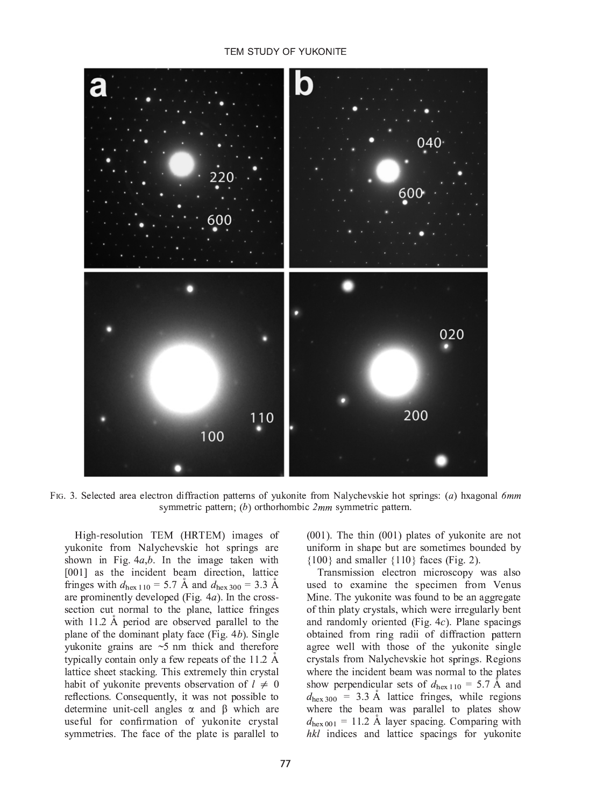### TEM STUDY OF YUKONITE



 $S$  symmetric pattern: (b) orthorhombic 2mm symmetric pattern symmetric pattern; (b) orthorhombic 2mm symmetric pattern.

High-resolution TEM (HRTEM) images of yukonite from Nalychevskie hot springs are shown in Fig.  $4a,b$ . In the image taken with [001] as the incident beam direction, lattice fringes with  $d_{\text{hex 110}} = 5.7 \text{ Å}$  and  $d_{\text{hex 300}} = 3.3 \text{ Å}$ are prominently developed (Fig.  $4a$ ). In the crosssection cut normal to the plane, lattice fringes with 11.2  $\AA$  period are observed parallel to the plane of the dominant platy face (Fig.  $4b$ ). Single yukonite grains are  $\sim$ 5 nm thick and therefore typically contain only a few repeats of the 11.2  $\AA$ lattice sheet stacking. This extremely thin crystal habit of yukonite prevents observation of  $l \neq 0$ reflections. Consequently, it was not possible to determine unit-cell angles  $\alpha$  and  $\beta$  which are useful for confirmation of yukonite crystal  $sum$  is  $sum$  in  $sum$  in  $sum$  in  $sum$  in  $sum$  in  $sum$  in  $sum$  in  $sum$  in  $sum$  in  $sum$  in  $sum$  in  $sum$  in  $sum$  in  $sum$  in  $sum$  in  $sum$  in  $sum$  in  $sum$  in  $sum$  in  $sum$  in  $sum$  in  $sum$  in  $sum$  in  $sum$  in  $sum$  in  $sum$  in  $sum$  in  $sum$  in  $sum$  in  $sum$  in  $sum$  symmetries. The face of the plate is parallel to

(001). The thin (001) plates of yukonite are not  $\{100\}$  and smaller  $\{110\}$  faces (Fig. 2).

Transmission electron microscopy was also used to examine the specimen from Venus Mine. The yukonite was found to be an aggregate of thin platy crystals, which were irregularly bent and randomly oriented (Fig.  $4c$ ). Plane spacings obtained from ring radii of diffraction pattern agree well with those of the yukonite single crystals from Nalychevskie hot springs. Regions where the incident beam was normal to the plates. show perpendicular sets of  $d_{\text{hex 110}} = 5.7 \text{ Å}$  and  $d_{\text{hex 300}} = 3.3 \text{ Å}$  lattice fringes, while regions where the beam was parallel to plates show  $d_{\text{hex 001}} = 11.2$  Å layer spacing. Comparing with  $\mu_{\rm hex,001}$  = 11.2 A layer spacing. Comparing with hkl indices and lattice spacings for yukonite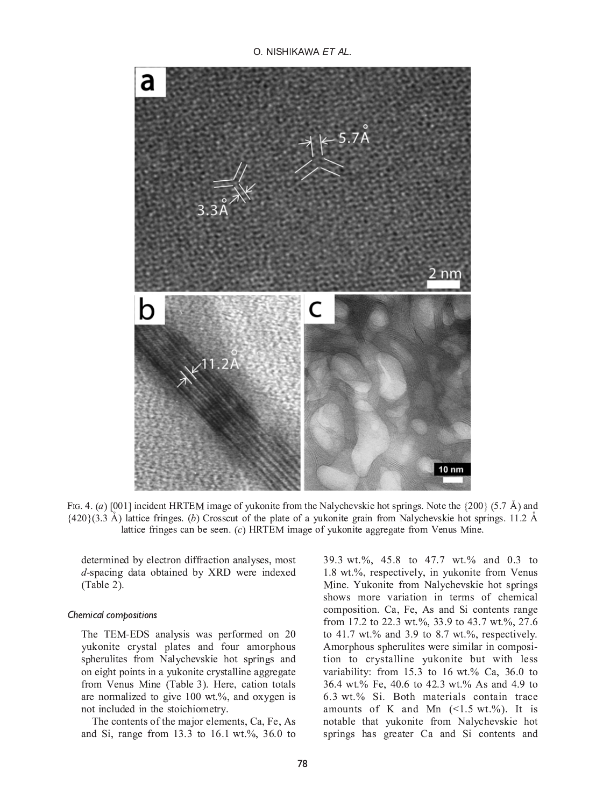O NISHIKAWA FT AL.



FIG. 4. (a) [001] incident HRTEM image of yukonite from the Nalychevskie hot springs. Note the {200} (5.7 Å) and {420}(3.3 Å) lattice fringes. (b) Crosscut of the plate of a yukonite grain from Nalychevskie hot springs. 1 lattice fringes can be seen. (c) HRTEM image of yukonite aggregate from Venus Mine. lattice fringes can be seen. (c) HRTEM image of yukonite aggregate from Venus Mine.

determined by electron diffraction analyses, most *d*-spacing data obtained by XRD were indexed  $(Table 2)$ .  $($  $-- )$ .

## Chemical compositions

The TEM-EDS analysis was performed on 20 spherulites from Nalychevskie hot springs and on eight points in a yukonite crystalline aggregate from Venus Mine (Table 3). Here, cation totals are normalized to give  $100 \text{ wt.}\%$ , and oxygen is not included in the stoichiometry.

The contents of the major elements, Ca, Fe, As  $\frac{1}{1}$  Content of the major elements, Ca,  $\frac{1}{2}$  of the major elements of the major elements. and S<sub>i</sub>, range from 13.3 to 16.1 wat.<sub>3</sub> to 16.0

39.3 wt.%, 45.8 to 47.7 wt.% and 0.3 to 1.8 wt.%, respectively, in yukonite from Venus Mine. Yukonite from Nalychevskie hot springs shows more variation in terms of chemical composition. Ca, Fe, As and Si contents range from 17.2 to 22.3 wt.%, 33.9 to 43.7 wt.%, 27.6 to 41.7 wt.% and 3.9 to 8.7 wt.%, respectively. Amorphous spherulites were similar in composition to crystalline yukonite but with less variability: from  $15.3$  to  $16$  wt.% Ca,  $36.0$  to 36.4 wt.% Fe, 40.6 to 42.3 wt.% As and 4.9 to 6.3 wt.% Si. Both materials contain trace amounts of K and Mn  $(\leq 1.5 \text{ wt.}\%)$ . It is notable that yukonite from Nalychevskie hot notable that y springs has greater Ca and Si contents and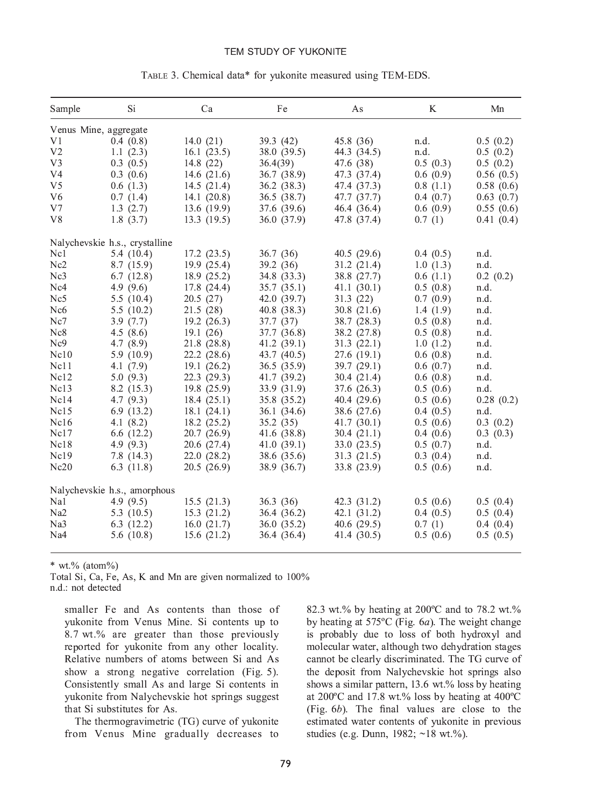### TEM STUDY OF YUKONITE

| Sample                | Si                             | Ca            | Fe          | As          | K        | Mn        |
|-----------------------|--------------------------------|---------------|-------------|-------------|----------|-----------|
| Venus Mine, aggregate |                                |               |             |             |          |           |
| V1                    | 0.4(0.8)                       | 14.0(21)      | 39.3 (42)   | 45.8 (36)   | n.d.     | 0.5(0.2)  |
| V <sub>2</sub>        | 1.1(2.3)                       | 16.1(23.5)    | 38.0 (39.5) | 44.3 (34.5) | n.d.     | 0.5(0.2)  |
| V3                    | 0.3(0.5)                       | 14.8 $(22)$   | 36.4(39)    | 47.6 (38)   | 0.5(0.3) | 0.5(0.2)  |
| V4                    | 0.3(0.6)                       | 14.6 $(21.6)$ | 36.7 (38.9) | 47.3 (37.4) | 0.6(0.9) | 0.56(0.5) |
| V <sub>5</sub>        | 0.6(1.3)                       | 14.5(21.4)    | 36.2(38.3)  | 47.4 (37.3) | 0.8(1.1) | 0.58(0.6) |
| V <sub>6</sub>        | 0.7(1.4)                       | 14.1(20.8)    | 36.5 (38.7) | 47.7 (37.7) | 0.4(0.7) | 0.63(0.7) |
| V7                    | 1.3(2.7)                       | 13.6 (19.9)   | 37.6 (39.6) | 46.4 (36.4) | 0.6(0.9) | 0.55(0.6) |
| V8                    | 1.8(3.7)                       | 13.3(19.5)    | 36.0 (37.9) | 47.8 (37.4) | 0.7(1)   | 0.41(0.4) |
|                       | Nalychevskie h.s., crystalline |               |             |             |          |           |
| Nc1                   | 5.4(10.4)                      | 17.2(23.5)    | 36.7(36)    | 40.5(29.6)  | 0.4(0.5) | n.d.      |
| Nc <sub>2</sub>       | 8.7(15.9)                      | 19.9(25.4)    | 39.2(36)    | 31.2(21.4)  | 1.0(1.3) | n.d.      |
| Nc3                   | 6.7(12.8)                      | 18.9 (25.2)   | 34.8 (33.3) | 38.8 (27.7) | 0.6(1.1) | 0.2(0.2)  |
| Nc4                   | 4.9 $(9.6)$                    | 17.8 (24.4)   | 35.7(35.1)  | 41.1(30.1)  | 0.5(0.8) | n.d.      |
| Nc5                   | 5.5(10.4)                      | 20.5(27)      | 42.0 (39.7) | 31.3(22)    | 0.7(0.9) | n.d.      |
| Nc <sub>6</sub>       | 5.5(10.2)                      | 21.5(28)      | 40.8(38.3)  | 30.8(21.6)  | 1.4(1.9) | n.d.      |
| Nc7                   | 3.9(7.7)                       | 19.2(26.3)    | 37.7(37)    | 38.7 (28.3) | 0.5(0.8) | n.d.      |
| Nc8                   | 4.5(8.6)                       | 19.1(26)      | 37.7 (36.8) | 38.2 (27.8) | 0.5(0.8) | n.d.      |
| Nc9                   | 4.7(8.9)                       | 21.8 (28.8)   | 41.2(39.1)  | 31.3(22.1)  | 1.0(1.2) | n.d.      |
| Nc10                  | 5.9(10.9)                      | 22.2(28.6)    | 43.7 (40.5) | 27.6(19.1)  | 0.6(0.8) | n.d.      |
| Nc11                  | 4.1(7.9)                       | 19.1(26.2)    | 36.5(35.9)  | 39.7 (29.1) | 0.6(0.7) | n.d.      |
| Nc12                  | 5.0(9.3)                       | 22.3(29.3)    | 41.7 (39.2) | 30.4(21.4)  | 0.6(0.8) | n.d.      |
| Nc13                  | 8.2(15.3)                      | 19.8 (25.9)   | 33.9 (31.9) | 37.6 (26.3) | 0.5(0.6) | n.d.      |
| Nc14                  | 4.7(9.3)                       | 18.4(25.1)    | 35.8 (35.2) | 40.4(29.6)  | 0.5(0.6) | 0.28(0.2) |
| Nc15                  | 6.9(13.2)                      | 18.1(24.1)    | 36.1 (34.6) | 38.6 (27.6) | 0.4(0.5) | n.d.      |
| Nc16                  | 4.1(8.2)                       | 18.2(25.2)    | 35.2(35)    | 41.7(30.1)  | 0.5(0.6) | 0.3(0.2)  |
| Nc17                  | 6.6(12.2)                      | 20.7(26.9)    | 41.6 (38.8) | 30.4(21.1)  | 0.4(0.6) | 0.3(0.3)  |
| Nc18                  | 4.9(9.3)                       | 20.6(27.4)    | 41.0(39.1)  | 33.0(23.5)  | 0.5(0.7) | n.d.      |
| Nc19                  | 7.8(14.3)                      | 22.0(28.2)    | 38.6 (35.6) | 31.3(21.5)  | 0.3(0.4) | n.d.      |
| Nc20                  | 6.3(11.8)                      | 20.5(26.9)    | 38.9 (36.7) | 33.8 (23.9) | 0.5(0.6) | n.d.      |
|                       | Nalychevskie h.s., amorphous   |               |             |             |          |           |
| Na1                   | 4.9(9.5)                       | 15.5(21.3)    | 36.3(36)    | 42.3 (31.2) | 0.5(0.6) | 0.5(0.4)  |
| Na2                   | 5.3(10.5)                      | 15.3(21.2)    | 36.4 (36.2) | 42.1(31.2)  | 0.4(0.5) | 0.5(0.4)  |
| Na <sub>3</sub>       | 6.3(12.2)                      | 16.0(21.7)    | 36.0 (35.2) | 40.6(29.5)  | 0.7(1)   | 0.4(0.4)  |
| Na <sub>4</sub>       | 5.6(10.8)                      | 15.6(21.2)    | 36.4 (36.4) | 41.4 (30.5) | 0.5(0.6) | 0.5(0.5)  |

### TABLE 3. Chemical data\* for yukonite measured using TEM-EDS.

\* wt.% (atom%)<br>Total Si, Ca, Fe, As, K and Mn are given normalized to 100% n.d.: not detected n.d.: not detected

smaller Fe and As contents than those of yukonite from Venus Mine. Si contents up to  $8.7 \text{ wt.} %$  are greater than those previously reported for yukonite from any other locality. Relative numbers of atoms between Si and As show a strong negative correlation (Fig.  $5$ ). Consistently small As and large Si contents in yukonite from Nalychevskie hot springs suggest that Si substitutes for As.

The thermogravimetric (TG) curve of yukonite The theorem of the theorem of yukonite or yukonite of yukonite of yukonite of yukonite of yukonite of yukonite of yukonite or yukonite or yukonite or yukonite or yukonite or yukonite or yukonite or yukonite or yukonite or from Venus Mine gradually decreases to

82.3 wt.% by heating at 200 $^{\circ}$ C and to 78.2 wt.% by heating at 575 $^{\circ}$ C (Fig. 6*a*). The weight change is probably due to loss of both hydroxyl and molecular water, although two dehydration stages cannot be clearly discriminated. The TG curve of the deposit from Nalychevskie hot springs also shows a similar pattern,  $13.6 \text{ wt.} %$  loss by heating at 200 $\degree$ C and 17.8 wt.% loss by heating at 400 $\degree$ C (Fig.  $6b$ ). The final values are close to the estimated water contents of yukonite in previous estudies (e.g. Dunn  $1982 \cdot \approx 18$  wt $\frac{9}{20}$ )  $s_{1} = \frac{1}{2}$  and  $s_{2} = \frac{1}{2}$  with  $s_{3} = \frac{1}{2}$  which is the set of  $s_{4}$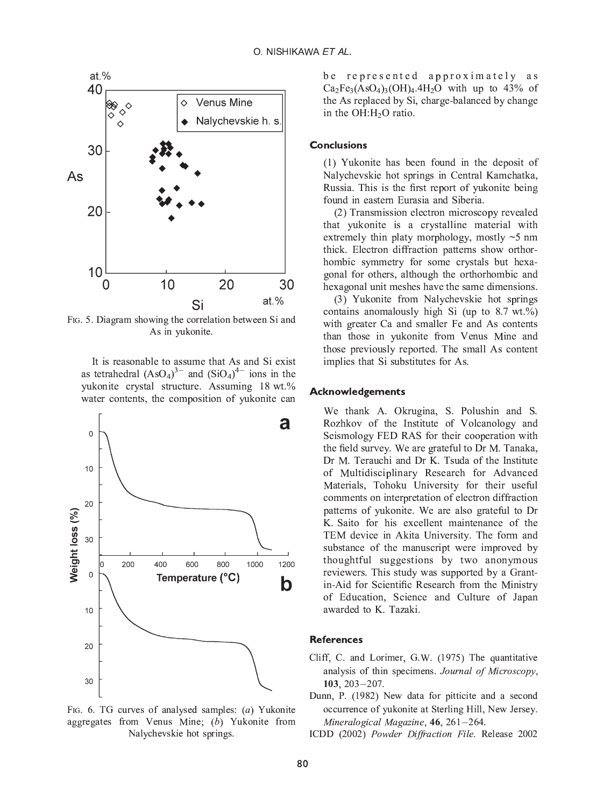

 $As in which the result is the number of points.$ As in yukonite.

It is reasonable to assume that As and Si exist<br>as tetrahedral  $(AsO<sub>4</sub>)<sup>3-</sup>$  and  $(SIO<sub>4</sub>)<sup>4-</sup>$  ions in the as tetrahedral  $(ASO_4)$  and  $(SIO_4)$  ions in the yukonite crystal structure. Assuming 18 wt.% water contents, the composition of yukonite can water contents, the composition of yukonite can



FIG. 6. TG curves of analysed samples:  $(a)$  Yukonite aggregates from Venus Mine;  $(b)$  Yukonite from Nalychevskie hot springs. Nalychevskie hot springs.

be represented approximately as<br>Ca<sub>2</sub>Fe<sub>3</sub>(AsO<sub>4</sub>)<sub>3</sub>(OH)<sub>4</sub>.4H<sub>2</sub>O with up to 43% of the As replaced by Si, charge-balanced by change in the OH: $H<sub>2</sub>O$  ratio. in the OH:H2O ratio.

**Conclusions**<br>(1) Yukonite has been found in the deposit of Nalychevskie hot springs in Central Kamchatka, Russia. This is the first report of yukonite being found in eastern Eurasia and Siberia.

(2) Transmission electron microscopy revealed that yukonite is a crystalline material with extremely thin platy morphology, mostly  $\sim$ 5 nm thick. Electron diffraction patterns show orthorhombic symmetry for some crystals but hexagonal for others, although the orthorhombic and hexagonal unit meshes have the same dimensions.

(3) Yukonite from Nalychevskie hot springs contains anomalously high Si (up to  $8.7$  wt.%) with greater Ca and smaller Fe and As contents than those in yukonite from Venus Mine and those previously reported. The small As content implies that Si substitutes for As.  $\mathbf{r}$ 

## . Achieve the signal control

We thank A. Okrugina, S. Polushin and S. Rozhkov of the Institute of Volcanology and Seismology FED RAS for their cooperation with the field survey. We are grateful to Dr M. Tanaka, Dr M. Terauchi and Dr K. Tsuda of the Institute of Multidisciplinary Research for Advanced Materials, Tohoku University for their useful comments on interpretation of electron diffraction patterns of yukonite. We are also grateful to Dr K. Saito for his excellent maintenance of the TEM device in Akita University. The form and substance of the manuscript were improved by thoughtful suggestions by two anonymous reviewers. This study was supported by a Grantin-Aid for Scientific Research from the Ministry of Education, Science and Culture of Japan awarded to K. Tazaki. awarded to K. Tazaki.

### **References**

- Cliff, C. and Lorimer, G.W. (1975) The quantitative analysis of thin specimens. Journal of Microscopy,  $103, 203 - 207.$
- nn, P. (1982)<br>occurrence of y<br>*Mineralogical*<br>DD (2002) *Pov* Dunn, P. (1982) New data for pitticite and a second occurrence of yukonite at Sterling Hill, New Jersey.  $M$ ingualogiaal  $M$ aaaring 46, 261, 264
- ICDD (2002) Powder Diffraction File. Release 2002  $\sum_{i=1}^{n}$